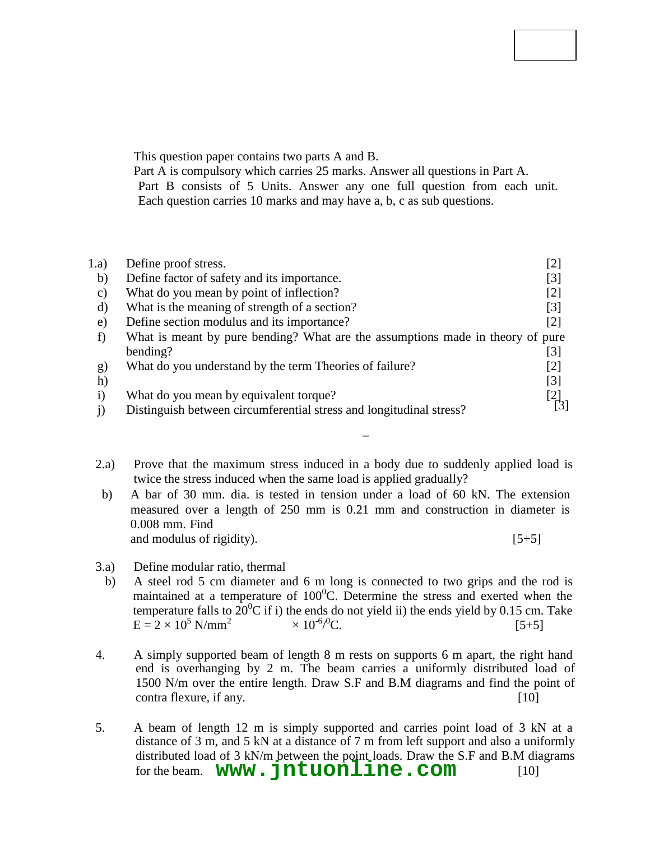### **Code No: 113AC**

### **JAWAHARLAL NEHRU TECHNOLOGICAL UNIVERSITY HYDERABAD B.Tech II Year I Semester Examinations, November/December - 2016 MECHANICS OF SOLIDS**

# **(Common to ME, MCT, MMT, AE, AME, MSNT)**

**Time: 3 Hours Max. Marks: 75** 

**Note:** This question paper contains two parts A and B.

Part A is compulsory which carries 25 marks. Answer all questions in Part A. Part B consists of 5 Units. Answer any one full question from each unit. Each question carries 10 marks and may have a, b, c as sub questions.

# **PART - A**

|                 |                                                                                         | $(25$ Marks)      |
|-----------------|-----------------------------------------------------------------------------------------|-------------------|
| 1.a)            | Define proof stress.                                                                    | [2]               |
| b)              | Define factor of safety and its importance.                                             | $[3]$             |
| $\mathcal{C}$ ) | What do you mean by point of inflection?                                                | $\lceil 2 \rceil$ |
| d)              | What is the meaning of strength of a section?                                           | $\lceil 3 \rceil$ |
| e)              | Define section modulus and its importance?                                              | [2]               |
| f)              | What is meant by pure bending? What are the assumptions made in theory of pure          |                   |
|                 | bending?                                                                                | [3]               |
| $\mathbf{g}$    | What do you understand by the term Theories of failure?                                 | $\lceil 2 \rceil$ |
| h)              | What is Mohr's circle? How is it useful in the solution of stress analysis problem? [3] |                   |
| $\mathbf{i}$    | What do you mean by equivalent torque?                                                  |                   |
|                 | Distinguish between circumferential stress and longitudinal stress?                     |                   |
|                 |                                                                                         |                   |

# **PART – B**

# **(50 Marks)**

- 2.a) Prove that the maximum stress induced in a body due to suddenly applied load is twice the stress induced when the same load is applied gradually?
- b) A bar of 30 mm. dia. is tested in tension under a load of 60 kN. The extension measured over a length of 250 mm is 0.21 mm and construction in diameter is 0.008 mm. Find Poisson's ratio and elastic constants, E and G (Modulus of elasticity and modulus of rigidity).  $[5+5]$

#### **OR**

- 3.a) Define modular ratio, thermal stress, thermal strain and Poisson's ratio.
- b) A steel rod 5 cm diameter and 6 m long is connected to two grips and the rod is maintained at a temperature of  $100^{\circ}$ C. Determine the stress and exerted when the temperature falls to  $20^0C$  if i) the ends do not yield ii) the ends yield by 0.15 cm. Take E =  $2 \times 10^5$  N/mm<sup>2</sup> and α =  $12 \times 10^{-6}$ /  $[5+5]$
- 4. A simply supported beam of length 8 m rests on supports 6 m apart, the right hand end is overhanging by 2 m. The beam carries a uniformly distributed load of 1500 N/m over the entire length. Draw S.F and B.M diagrams and find the point of contra flexure, if any. [10]

### **OR**

5. A beam of length 12 m is simply supported and carries point load of 3 kN at a distance of 3 m, and 5 kN at a distance of 7 m from left support and also a uniformly distributed load of 3 kN/m between the point loads. Draw the S.F and B.M diagrams for the beam. **WWW.** jntuonline.com [10]